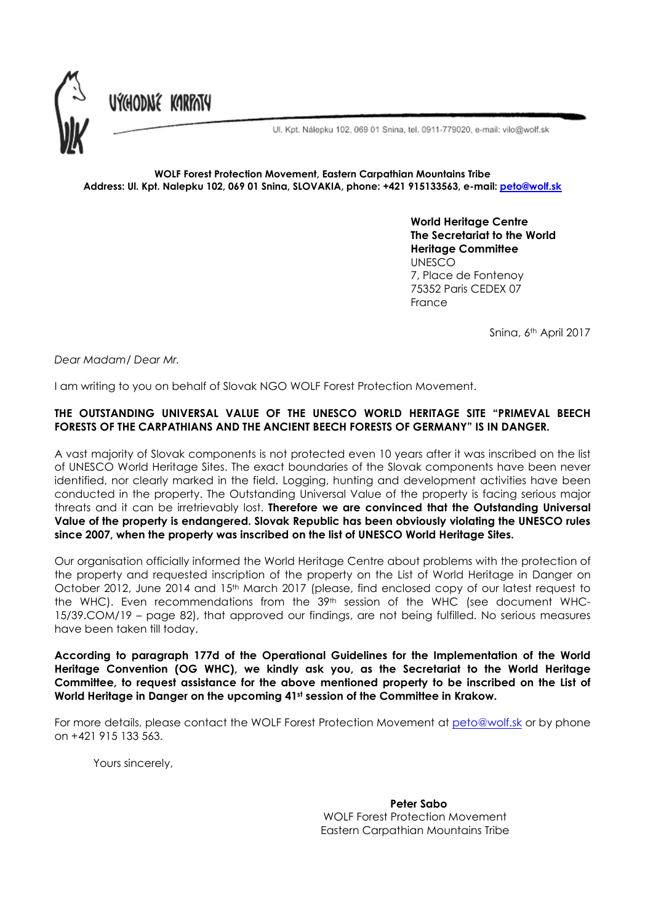

Ul. Kpt. Nálepku 102, 069 01 Snina, tel. 0911-779020, e-mail: vilo@wolf.sk

## WOLF Forest Protection Movement, Eastern Carpathian Mountains Tribe Address: Ul. Kpt. Nalepku 102, 069 01 Snina, SLOVAKIA, phone: +421 915133563, e-mail: peto@wolf.sk

World Heritage Centre The Secretariat to the World Heritage Committee UNESCO 7, Place de Fontenoy 75352 Paris CEDEX 07 France

Snina, 6th April 2017

*Dear Madam/ Dear Mr.*

I am writing to you on behalf of Slovak NGO WOLF Forest Protection Movement.

## THE OUTSTANDING UNIVERSAL VALUE OF THE UNESCO WORLD HERITAGE SITE "PRIMEVAL BEECH FORESTS OF THE CARPATHIANS AND THE ANCIENT BEECH FORESTS OF GERMANY" IS IN DANGER.

A vast majority of Slovak components is not protected even 10 years after it was inscribed on the list of UNESCO World Heritage Sites. The exact boundaries of the Slovak components have been never identified, nor clearly marked in the field. Logging, hunting and development activities have been conducted in the property. The Outstanding Universal Value of the property is facing serious major threats and it can be irretrievably lost. Therefore we are convinced that the Outstanding Universal Value of the property is endangered. Slovak Republic has been obviously violating the UNESCO rules since 2007, when the property was inscribed on the list of UNESCO World Heritage Sites.

Our organisation officially informed the World Heritage Centre about problems with the protection of the property and requested inscription of the property on the List of World Heritage in Danger on October 2012, June 2014 and 15<sup>th</sup> March 2017 (please, find enclosed copy of our latest request to the WHC). Even recommendations from the 39th session of the WHC (see document WHC-15/39.COM/19 – page 82), that approved our findings, are not being fulfilled. No serious measures have been taken till today.

According to paragraph 177d of the Operational Guidelines for the Implementation of the World Heritage Convention (OG WHC), we kindly ask you, as the Secretariat to the World Heritage Committee, to request assistance for the above mentioned property to be inscribed on the List of World Heritage in Danger on the upcoming 41st session of the Committee in Krakow.

For more details, please contact the WOLF Forest Protection Movement at peto@wolf.sk or by phone on +421 915 133 563.

Yours sincerely,

Peter Sabo WOLF Forest Protection Movement Eastern Carpathian Mountains Tribe